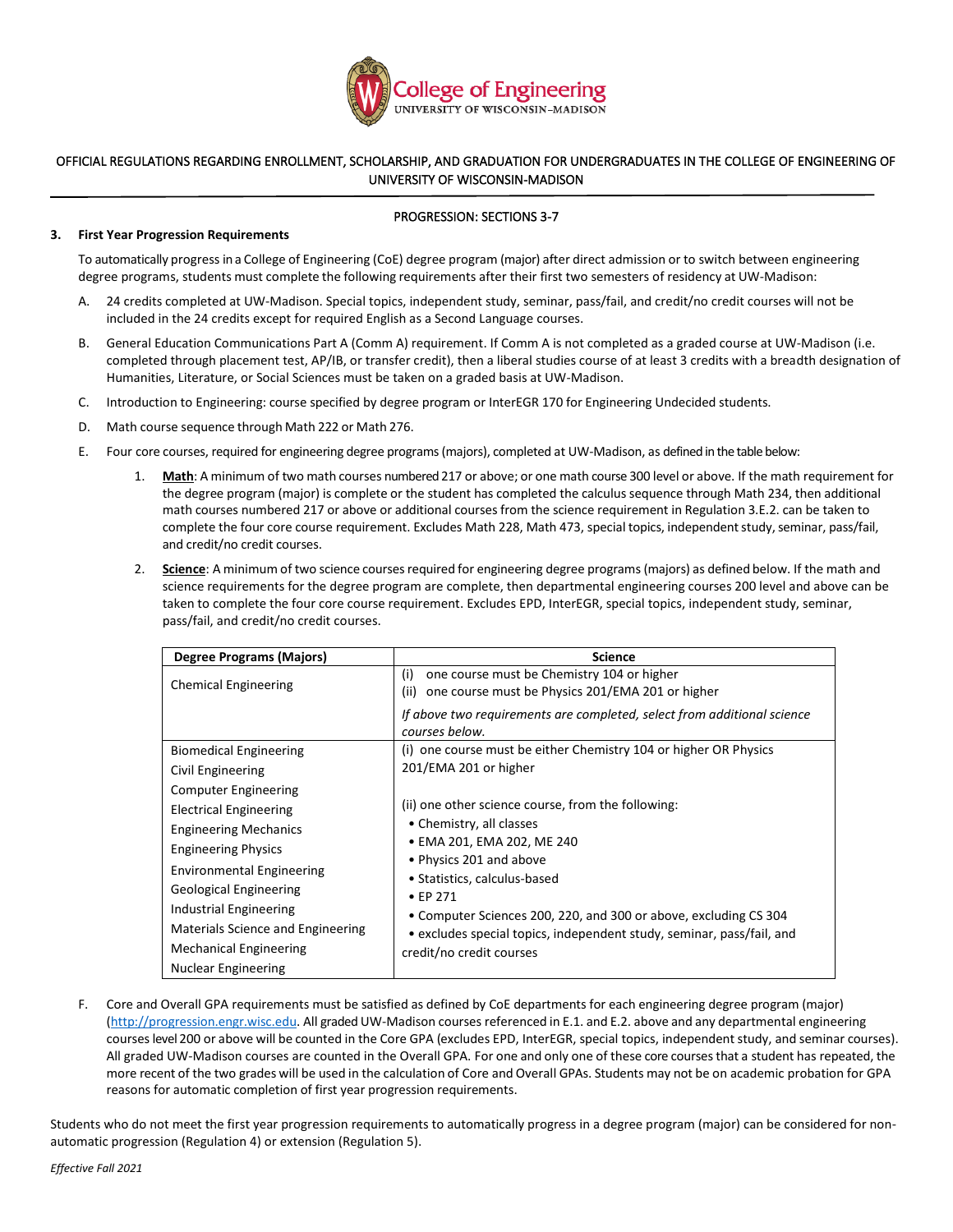

# OFFICIAL REGULATIONS REGARDING ENROLLMENT, SCHOLARSHIP, AND GRADUATION FOR UNDERGRADUATES IN THE COLLEGE OF ENGINEERING OF UNIVERSITY OF WISCONSIN-MADISON

## PROGRESSION: SECTIONS 3-7

#### **3. First Year Progression Requirements**

To automatically progress in a College of Engineering (CoE) degree program (major) after direct admission or to switch between engineering degree programs, students must complete the following requirements after their first two semesters of residency at UW-Madison:

- A. 24 credits completed at UW-Madison. Special topics, independent study, seminar, pass/fail, and credit/no credit courses will not be included in the 24 credits except for required English as a Second Language courses.
- B. General Education Communications Part A (Comm A) requirement. If Comm A is not completed as a graded course at UW-Madison (i.e. completed through placement test, AP/IB, or transfer credit), then a liberal studies course of at least 3 credits with a breadth designation of Humanities, Literature, or Social Sciences must be taken on a graded basis at UW-Madison.
- C. Introduction to Engineering: course specified by degree program or InterEGR 170 for Engineering Undecided students.
- D. Math course sequence through Math 222 or Math 276.
- E. Four core courses, required for engineering degree programs (majors), completed at UW-Madison, as defined in the table below:
	- 1. **Math**: A minimum of two math courses numbered 217 or above; or one math course 300 level or above. If the math requirement for the degree program (major) is complete or the student has completed the calculus sequence through Math 234, then additional math courses numbered 217 or above or additional courses from the science requirement in Regulation 3.E.2. can be taken to complete the four core course requirement. Excludes Math 228, Math 473, special topics, independent study, seminar, pass/fail, and credit/no credit courses.
	- 2. Science: A minimum of two science courses required for engineering degree programs (majors) as defined below. If the math and science requirements for the degree program are complete, then departmental engineering courses 200 level and above can be taken to complete the four core course requirement. Excludes EPD, InterEGR, special topics, independent study, seminar, pass/fail, and credit/no credit courses.

| Degree Programs (Majors)          | <b>Science</b>                                                                                    |
|-----------------------------------|---------------------------------------------------------------------------------------------------|
| <b>Chemical Engineering</b>       | (i)<br>one course must be Chemistry 104 or higher                                                 |
|                                   | one course must be Physics 201/EMA 201 or higher<br>(ii)                                          |
|                                   | If above two requirements are completed, select from additional science                           |
|                                   | courses below.                                                                                    |
| <b>Biomedical Engineering</b>     | (i) one course must be either Chemistry 104 or higher OR Physics                                  |
| Civil Engineering                 | 201/EMA 201 or higher                                                                             |
| <b>Computer Engineering</b>       |                                                                                                   |
| <b>Electrical Engineering</b>     | (ii) one other science course, from the following:                                                |
| <b>Engineering Mechanics</b>      | • Chemistry, all classes                                                                          |
| <b>Engineering Physics</b>        | • EMA 201, EMA 202, ME 240                                                                        |
| <b>Environmental Engineering</b>  | • Physics 201 and above                                                                           |
| Geological Engineering            | • Statistics, calculus-based                                                                      |
| Industrial Engineering            | $\bullet$ EP 271                                                                                  |
| Materials Science and Engineering | • Computer Sciences 200, 220, and 300 or above, excluding CS 304                                  |
| <b>Mechanical Engineering</b>     | • excludes special topics, independent study, seminar, pass/fail, and<br>credit/no credit courses |
| Nuclear Engineering               |                                                                                                   |

F. Core and Overall GPA requirements must be satisfied as defined by CoE departments for each engineering degree program (major) [\(http://progression.engr.wisc.edu.](http://progression.engr.wisc.edu/) All graded UW-Madison courses referenced in E.1. and E.2. above and any departmental engineering courses level 200 or above will be counted in the Core GPA (excludes EPD, InterEGR, special topics, independent study, and seminar courses). All graded UW-Madison courses are counted in the Overall GPA. For one and only one of these core coursesthat a student has repeated, the more recent of the two grades will be used in the calculation of Core and Overall GPAs. Students may not be on academic probation for GPA reasons for automatic completion of first year progression requirements.

Students who do not meet the first year progression requirements to automatically progress in a degree program (major) can be considered for nonautomatic progression (Regulation 4) or extension (Regulation 5).